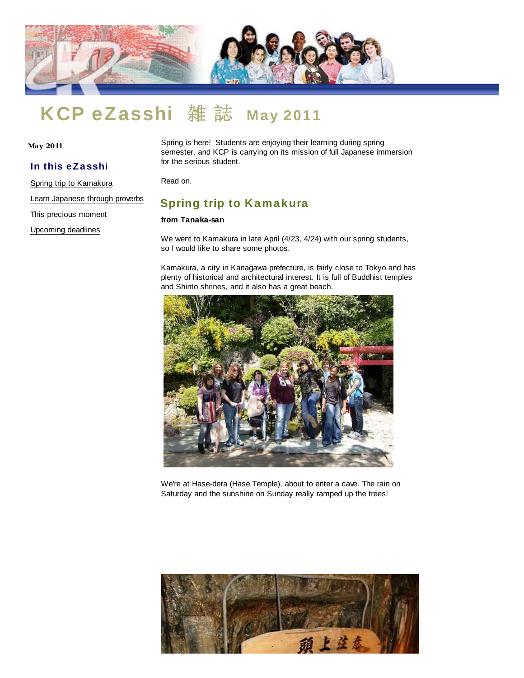

# KCP eZasshi 雑誌 May 2011

**Ma y 2011**

#### In this eZasshi

Spring trip to Kamakura

Learn Japanese through proverbs

This precious moment

Upcoming deadlines

Spring is here! Students are enjoying their learning during spring semester, and KCP is carrying on its mission of full Japanese immersion for the serious student.

Read on.

## Spring trip to Kamakura

#### **from Tanaka-san**

We went to Kamakura in late April (4/23, 4/24) with our spring students, so I would like to share some photos.

Kamakura, a city in Kanagawa prefecture, is fairly close to Tokyo and has plenty of historical and architectural interest. It is full of Buddhist temples and Shinto shrines, and it also has a great beach.



We're at Hase-dera (Hase Temple), about to enter a cave. The rain on Saturday and the sunshine on Sunday really ramped up the trees!

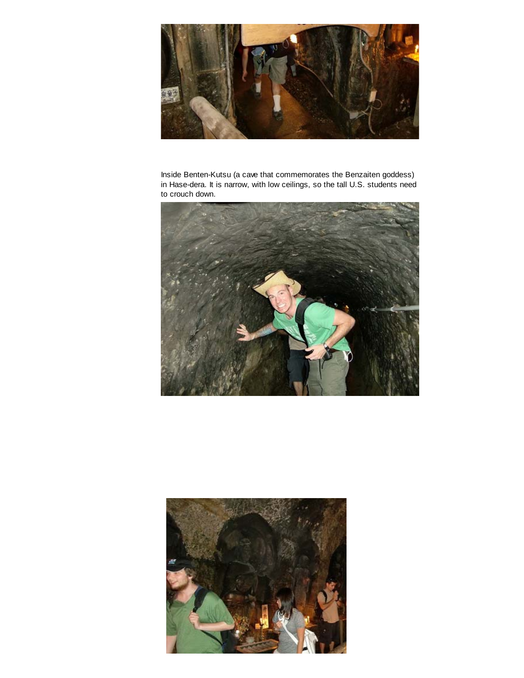

Inside Benten-Kutsu (a cave that commemorates the Benzaiten goddess) in Hase-dera. It is narrow, with low ceilings, so the tall U.S. students need to crouch down.



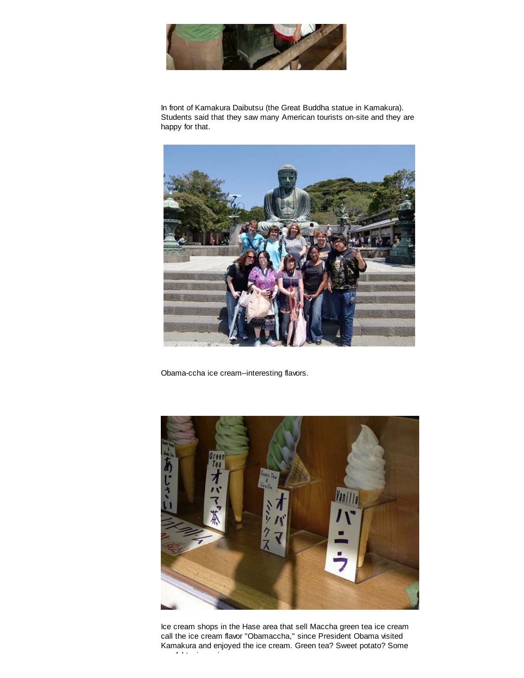

In front of Kamakura Daibutsu (the Great Buddha statue in Kamakura). Students said that they saw many American tourists on-site and they are happy for that.



Obama-ccha ice cream--interesting flavors.



Ice cream shops in the Hase area that sell Maccha green tea ice cream call the ice cream flavor "Obamaccha," since President Obama visited Kamakura and enjoyed the ice cream. Green tea? Sweet potato? Some  $\epsilon$  is in its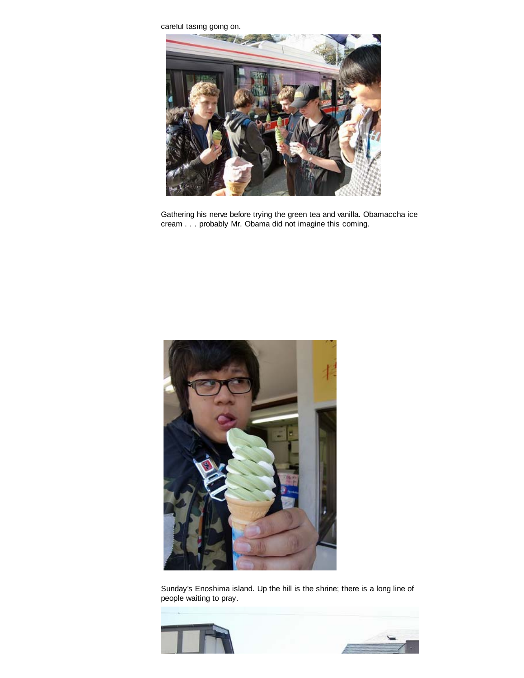careful tasing going on.



Gathering his nerve before trying the green tea and vanilla. Obamaccha ice cream . . . probably Mr. Obama did not imagine this coming.



Sunday's Enoshima island. Up the hill is the shrine; there is a long line of people waiting to pray.



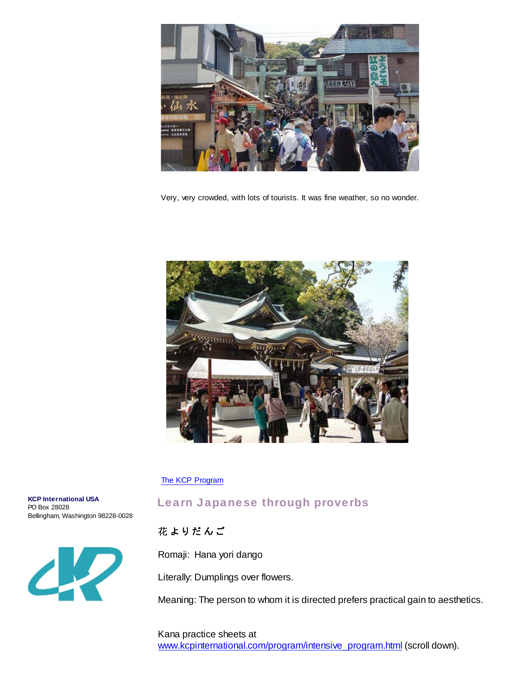

Very, very crowded, with lots of tourists. It was fine weather, so no wonder.



#### The KCP Program

**KCP International USA** PO Box 28028 Bellingham, Washington 98228-0028



# Learn Japanese through proverbs

### 花よりだんご

Romaji: Hana yori dango

Literally: Dumplings over flowers.

Meaning: The person to whom it is directed prefers practical gain to aesthetics.

Kana practice sheets at www.kcpinternational.com/program/intensive\_program.html (scroll down).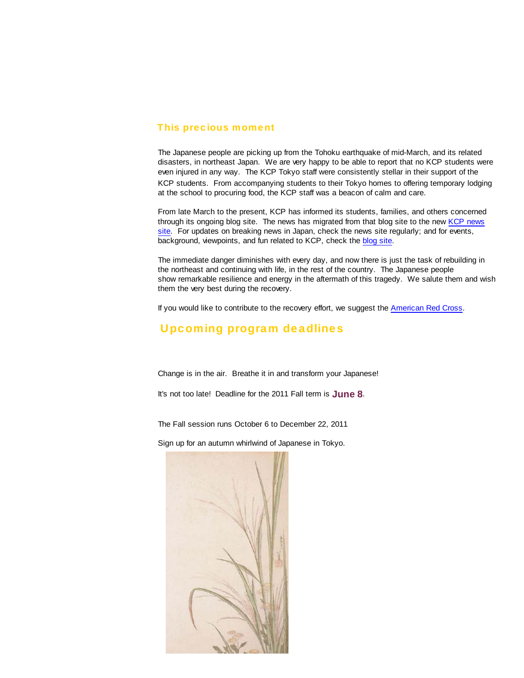#### This precious moment

The Japanese people are picking up from the Tohoku earthquake of mid-March, and its related disasters, in northeast Japan. We are very happy to be able to report that no KCP students were even injured in any way. The KCP Tokyo staff were consistently stellar in their support of the KCP students. From accompanying students to their Tokyo homes to offering temporary lodging at the school to procuring food, the KCP staff was a beacon of calm and care.

From late March to the present, KCP has informed its students, families, and others concerned through its ongoing blog site. The news has migrated from that blog site to the new KCP news site. For updates on breaking news in Japan, check the news site regularly; and for events, background, viewpoints, and fun related to KCP, check the blog site.

The immediate danger diminishes with every day, and now there is just the task of rebuilding in the northeast and continuing with life, in the rest of the country. The Japanese people show remarkable resilience and energy in the aftermath of this tragedy. We salute them and wish them the very best during the recovery.

If you would like to contribute to the recovery effort, we suggest the American Red Cross.

## Upcoming program deadlines

Change is in the air. Breathe it in and transform your Japanese!

It's not too late! Deadline for the 2011 Fall term is **June 8**.

The Fall session runs October 6 to December 22, 2011

Sign up for an autumn whirlwind of Japanese in Tokyo.